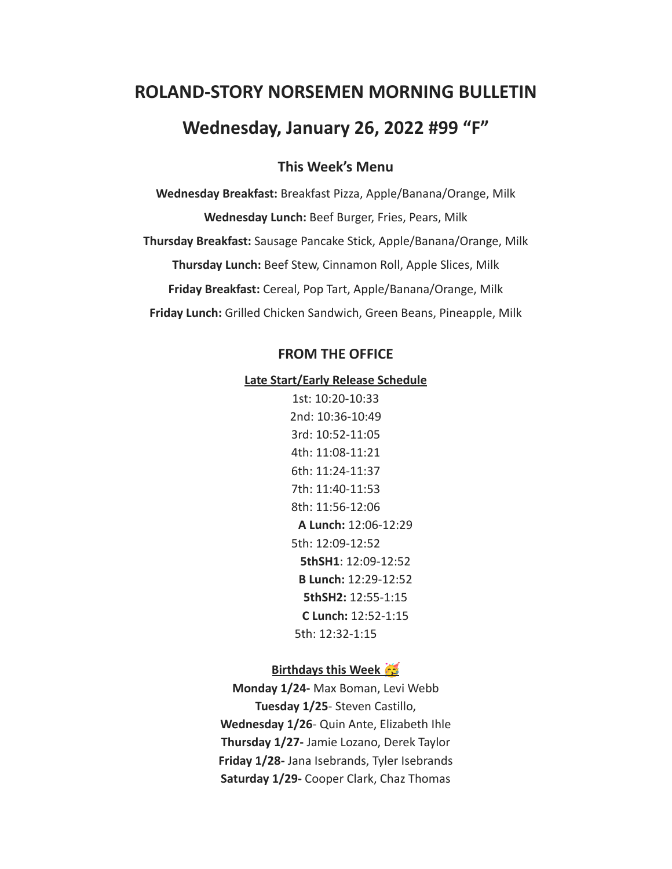# **ROLAND-STORY NORSEMEN MORNING BULLETIN**

# **Wednesday, January 26, 2022 #99 "F"**

# **This Week's Menu**

**Wednesday Breakfast:** Breakfast Pizza, Apple/Banana/Orange, Milk **Wednesday Lunch:** Beef Burger, Fries, Pears, Milk **Thursday Breakfast:** Sausage Pancake Stick, Apple/Banana/Orange, Milk **Thursday Lunch:** Beef Stew, Cinnamon Roll, Apple Slices, Milk **Friday Breakfast:** Cereal, Pop Tart, Apple/Banana/Orange, Milk **Friday Lunch:** Grilled Chicken Sandwich, Green Beans, Pineapple, Milk

# **FROM THE OFFICE**

#### **Late Start/Early Release Schedule**

1st: 10:20-10:33 2nd: 10:36-10:49 3rd: 10:52-11:05 4th: 11:08-11:21 6th: 11:24-11:37 7th: 11:40-11:53 8th: 11:56-12:06 **A Lunch:** 12:06-12:29 5th: 12:09-12:52 **5thSH1**: 12:09-12:52 **B Lunch:** 12:29-12:52 **5thSH2:** 12:55-1:15 **C Lunch:** 12:52-1:15 5th: 12:32-1:15

# **Birthdays this Week**

**Monday 1/24-** Max Boman, Levi Webb **Tuesday 1/25**- Steven Castillo, **Wednesday 1/26**- Quin Ante, Elizabeth Ihle **Thursday 1/27-** Jamie Lozano, Derek Taylor **Friday 1/28-** Jana Isebrands, Tyler Isebrands **Saturday 1/29-** Cooper Clark, Chaz Thomas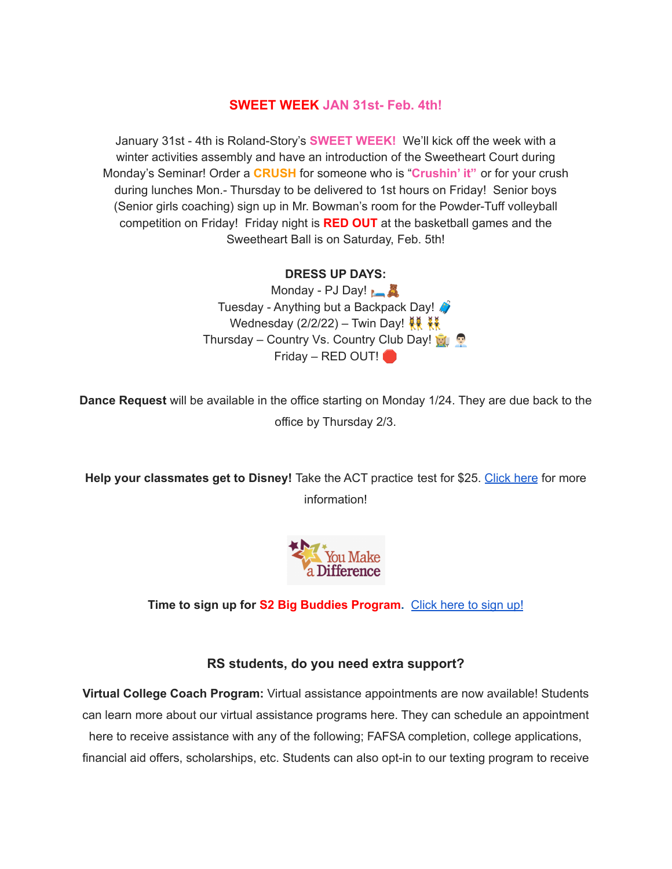# **SWEET WEEK JAN 31st- Feb. 4th!**

January 31st - 4th is Roland-Story's **SWEET WEEK!** We'll kick off the week with a winter activities assembly and have an introduction of the Sweetheart Court during Monday's Seminar! Order a **CRUSH** for someone who is "**Crushin' it"** or for your crush during lunches Mon.- Thursday to be delivered to 1st hours on Friday! Senior boys (Senior girls coaching) sign up in Mr. Bowman's room for the Powder-Tuff volleyball competition on Friday! Friday night is **RED OUT** at the basketball games and the Sweetheart Ball is on Saturday, Feb. 5th!

#### **DRESS UP DAYS:**

Monday - PJ Day! Tuesday - Anything but a Backpack Day! Wednesday (2/2/22) – Twin Day!  $\frac{12}{10}$ Thursday – Country Vs. Country Club Day! Friday – RED OUT!

**Dance Request** will be available in the office starting on Monday 1/24. They are due back to the office by Thursday 2/3.

**Help your classmates get to Disney!** Take the ACT practice test for \$25. [Click](https://drive.google.com/file/d/1oPqWQ0VvsIc-NVR9cIZGWUySp5CiMbtD/view?usp=sharing) here for more information!



**Time to sign up for S2 Big Buddies Program.** [Click](https://docs.google.com/forms/d/e/1FAIpQLScEfMWk-lsFYGzpe0Yn6ky9dqYu7j6368TGcUHByQAIutY4OA/viewform?usp=sf_link) here to sign up!

#### **RS students, do you need extra support?**

**Virtual College Coach Program:** Virtual assistance appointments are now available! Students can learn more about our virtual assistance programs here. They can schedule an appointment here to receive assistance with any of the following; FAFSA completion, college applications, financial aid offers, scholarships, etc. Students can also opt-in to our texting program to receive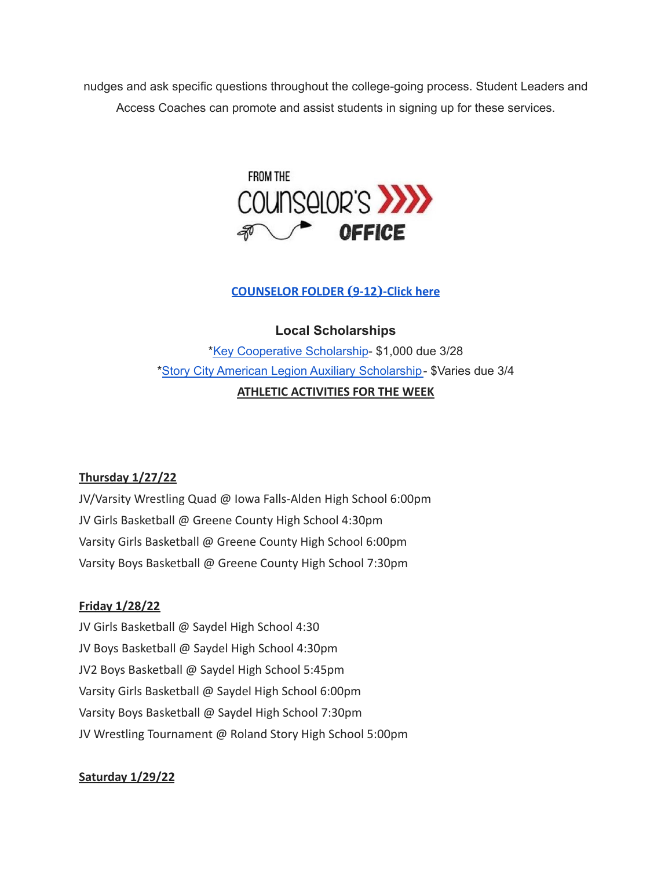nudges and ask specific questions throughout the college-going process. Student Leaders and Access Coaches can promote and assist students in signing up for these services.



# **[COUNSELOR FOLDER](https://docs.google.com/document/d/1vmwczNPbDzXe9vFaG5LJMQ7NYDv-i4oQJHybqA65TUc/edit?usp=sharing) (9-12)-Click here**

**Local Scholarships**

\*Key [Cooperative](https://storcoopmediafilesprd.blob.core.windows.net/atlasportals/all-media/keycoope/website/documents/2021-2022-scholarship-packet.pdf) Scholarship- \$1,000 due 3/28 \*Story City American Legion Auxiliary [Scholarship-](https://docs.google.com/document/d/1mrTNcze4j66xlxg-M87WORerMOc7lhPxYQRvWYQXnBI/edit?usp=sharing) \$Varies due 3/4 **ATHLETIC ACTIVITIES FOR THE WEEK**

# **Thursday 1/27/22**

JV/Varsity Wrestling Quad @ Iowa Falls-Alden High School 6:00pm JV Girls Basketball @ Greene County High School 4:30pm Varsity Girls Basketball @ Greene County High School 6:00pm Varsity Boys Basketball @ Greene County High School 7:30pm

# **Friday 1/28/22**

JV Girls Basketball @ Saydel High School 4:30 JV Boys Basketball @ Saydel High School 4:30pm JV2 Boys Basketball @ Saydel High School 5:45pm Varsity Girls Basketball @ Saydel High School 6:00pm Varsity Boys Basketball @ Saydel High School 7:30pm JV Wrestling Tournament @ Roland Story High School 5:00pm

# **Saturday 1/29/22**